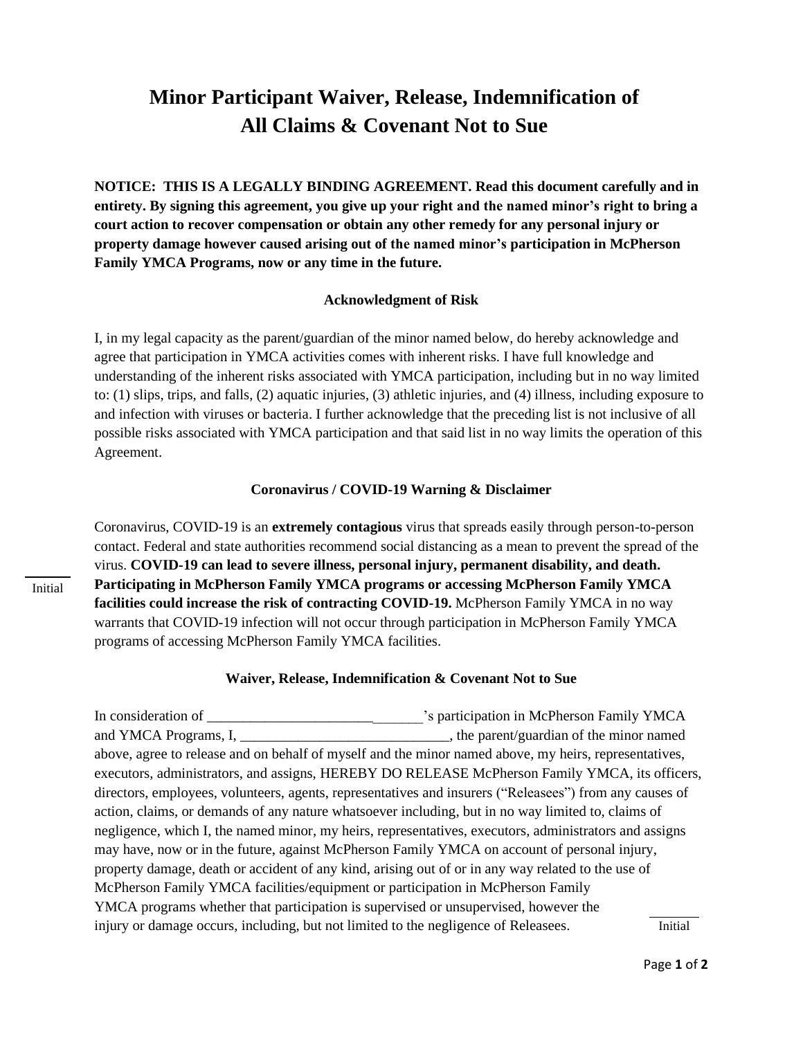## **Minor Participant Waiver, Release, Indemnification of All Claims & Covenant Not to Sue**

**NOTICE: THIS IS A LEGALLY BINDING AGREEMENT. Read this document carefully and in entirety. By signing this agreement, you give up your right and the named minor's right to bring a court action to recover compensation or obtain any other remedy for any personal injury or property damage however caused arising out of the named minor's participation in McPherson Family YMCA Programs, now or any time in the future.**

## **Acknowledgment of Risk**

I, in my legal capacity as the parent/guardian of the minor named below, do hereby acknowledge and agree that participation in YMCA activities comes with inherent risks. I have full knowledge and understanding of the inherent risks associated with YMCA participation, including but in no way limited to: (1) slips, trips, and falls, (2) aquatic injuries, (3) athletic injuries, and (4) illness, including exposure to and infection with viruses or bacteria. I further acknowledge that the preceding list is not inclusive of all possible risks associated with YMCA participation and that said list in no way limits the operation of this Agreement.

## **Coronavirus / COVID-19 Warning & Disclaimer**

Coronavirus, COVID-19 is an **extremely contagious** virus that spreads easily through person-to-person contact. Federal and state authorities recommend social distancing as a mean to prevent the spread of the virus. **COVID-19 can lead to severe illness, personal injury, permanent disability, and death. Participating in McPherson Family YMCA programs or accessing McPherson Family YMCA facilities could increase the risk of contracting COVID-19. McPherson Family YMCA in no way** warrants that COVID-19 infection will not occur through participation in McPherson Family YMCA programs of accessing McPherson Family YMCA facilities.

## **Waiver, Release, Indemnification & Covenant Not to Sue**

In consideration of \_\_\_\_\_\_\_\_\_\_\_\_\_\_\_\_\_\_\_\_\_\_\_\_\_\_\_\_\_\_\_\_'s participation in McPherson Family YMCA and YMCA Programs, I, \_\_\_\_\_\_\_\_\_\_\_\_\_\_\_\_\_\_\_\_\_\_\_\_\_\_\_\_\_\_\_\_, the parent/guardian of the minor named above, agree to release and on behalf of myself and the minor named above, my heirs, representatives, executors, administrators, and assigns, HEREBY DO RELEASE McPherson Family YMCA, its officers, directors, employees, volunteers, agents, representatives and insurers ("Releasees") from any causes of action, claims, or demands of any nature whatsoever including, but in no way limited to, claims of negligence, which I, the named minor, my heirs, representatives, executors, administrators and assigns may have, now or in the future, against McPherson Family YMCA on account of personal injury, property damage, death or accident of any kind, arising out of or in any way related to the use of McPherson Family YMCA facilities/equipment or participation in McPherson Family YMCA programs whether that participation is supervised or unsupervised, however the injury or damage occurs, including, but not limited to the negligence of Releasees. Initial

Initial